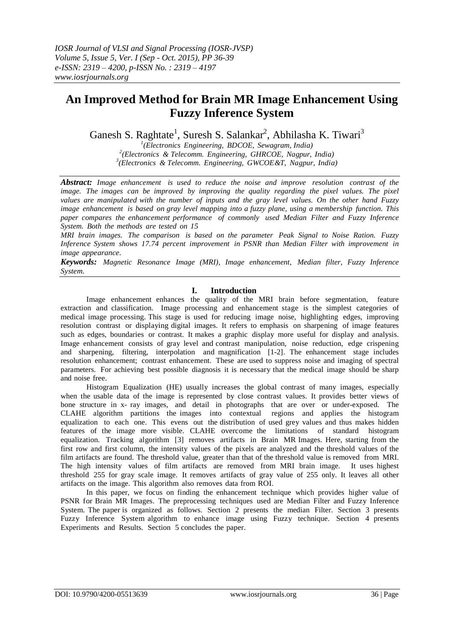# **An Improved Method for Brain MR Image Enhancement Using Fuzzy Inference System**

Ganesh S. Raghtate<sup>1</sup>, Suresh S. Salankar<sup>2</sup>, Abhilasha K. Tiwari<sup>3</sup>

*1 (Electronics Engineering, BDCOE, Sewagram, India) 2 (Electronics & Telecomm. Engineering, GHRCOE, Nagpur, India) 3 (Electronics & Telecomm. Engineering, GWCOE&T, Nagpur, India)*

*Abstract: Image enhancement is used to reduce the noise and improve resolution contrast of the image. The images can be improved by improving the quality regarding the pixel values. The pixel values are manipulated with the number of inputs and the gray level values. On the other hand Fuzzy image enhancement is based on gray level mapping into a fuzzy plane, using a membership function. This paper compares the enhancement performance of commonly used Median Filter and Fuzzy Inference System. Both the methods are tested on 15*

*MRI brain images. The comparison is based on the parameter Peak Signal to Noise Ration. Fuzzy Inference System shows 17.74 percent improvement in PSNR than Median Filter with improvement in image appearance.* 

*Keywords: Magnetic Resonance Image (MRI), Image enhancement, Median filter, Fuzzy Inference System.*

## **I. Introduction**

Image enhancement enhances the quality of the MRI brain before segmentation, feature extraction and classification. Image processing and enhancement stage is the simplest categories of medical image processing. This stage is used for reducing image noise, highlighting edges, improving resolution contrast or displaying digital images. It refers to emphasis on sharpening of image features such as edges, boundaries or contrast. It makes a graphic display more useful for display and analysis. Image enhancement consists of gray level and contrast manipulation, noise reduction, edge crispening and sharpening, filtering, interpolation and magnification [1-2]. The enhancement stage includes resolution enhancement; contrast enhancement. These are used to suppress noise and imaging of spectral parameters. For achieving best possible diagnosis it is necessary that the medical image should be sharp and noise free.

Histogram Equalization (HE) usually increases the global contrast of many images, especially when the usable data of the image is represented by close contrast values. It provides better views of bone structure in x- ray images, and detail in photographs that are over or under-exposed. The CLAHE algorithm partitions the images into contextual regions and applies the histogram equalization to each one. This evens out the distribution of used grey values and thus makes hidden features of the image more visible. CLAHE overcome the limitations of standard histogram equalization. Tracking algorithm [3] removes artifacts in Brain MR Images. Here, starting from the first row and first column, the intensity values of the pixels are analyzed and the threshold values of the film artifacts are found. The threshold value, greater than that of the threshold value is removed from MRI. The high intensity values of film artifacts are removed from MRI brain image. It uses highest threshold 255 for gray scale image. It removes artifacts of gray value of 255 only. It leaves all other artifacts on the image. This algorithm also removes data from ROI.

In this paper, we focus on finding the enhancement technique which provides higher value of PSNR for Brain MR Images. The preprocessing techniques used are Median Filter and Fuzzy Inference System. The paper is organized as follows. Section 2 presents the median Filter. Section 3 presents Fuzzy Inference System algorithm to enhance image using Fuzzy technique. Section 4 presents Experiments and Results. Section 5 concludes the paper.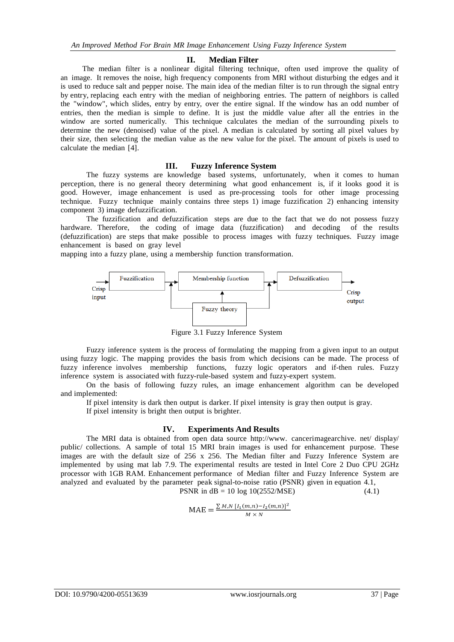## **II. Median Filter**

The median filter is a nonlinear digital filtering technique, often used improve the quality of an image. It removes the noise, high frequency components from MRI without disturbing the edges and it is used to reduce salt and pepper noise. The main idea of the median filter is to run through the signal entry by entry, replacing each entry with the median of neighboring entries. The pattern of neighbors is called the "window", which slides, entry by entry, over the entire signal. If the window has an odd number of entries, then the median is simple to define. It is just the middle value after all the entries in the window are sorted numerically. This technique calculates the median of the surrounding pixels to determine the new (denoised) value of the pixel. A median is calculated by sorting all pixel values by their size, then selecting the median value as the new value for the pixel. The amount of pixels is used to calculate the median [4].

## **III. Fuzzy Inference System**

The fuzzy systems are knowledge based systems, unfortunately, when it comes to human perception, there is no general theory determining what good enhancement is, if it looks good it is good. However, image enhancement is used as pre-processing tools for other image processing technique. Fuzzy technique mainly contains three steps 1) image fuzzification 2) enhancing intensity component 3) image defuzzification.

The fuzzification and defuzzification steps are due to the fact that we do not possess fuzzy hardware. Therefore, the coding of image data (fuzzification) and decoding of the results the coding of image data (fuzzification) and decoding of the results (defuzzification) are steps that make possible to process images with fuzzy techniques. Fuzzy image enhancement is based on gray level

mapping into a fuzzy plane, using a membership function transformation.



Figure 3.1 Fuzzy Inference System

Fuzzy inference system is the process of formulating the mapping from a given input to an output using fuzzy logic. The mapping provides the basis from which decisions can be made. The process of fuzzy inference involves membership functions, fuzzy logic operators and if-then rules. Fuzzy inference system is associated with fuzzy-rule-based system and fuzzy-expert system.

On the basis of following fuzzy rules, an image enhancement algorithm can be developed and implemented:

If pixel intensity is dark then output is darker. If pixel intensity is gray then output is gray.

If pixel intensity is bright then output is brighter.

#### **IV. Experiments And Results**

The MRI data is obtained from open data source [http://www.](http://www/) cancerimagearchive. net/ display/ public/ collections. A sample of total 15 MRI brain images is used for enhancement purpose. These images are with the default size of 256 x 256. The Median filter and Fuzzy Inference System are implemented by using mat lab 7.9. The experimental results are tested in Intel Core 2 Duo CPU 2GHz processor with 1GB RAM. Enhancement performance of Median filter and Fuzzy Inference System are analyzed and evaluated by the parameter peak signal-to-noise ratio (PSNR) given in equation 4.1, PSNR in  $dB = 10 \log 10(2552/MSE)$  (4.1)

$$
MAE = \frac{\sum M N [I_1(m,n) - I_2(m,n)]^2}{M \times N}
$$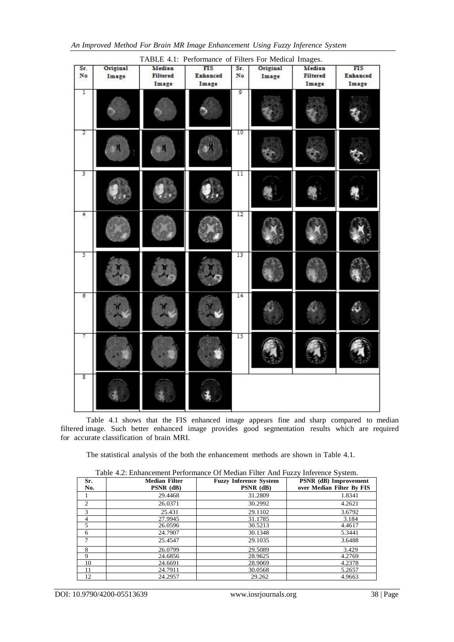| An Improved Method For Brain MR Image Enhancement Using Fuzzy Inference System |  |  |  |  |
|--------------------------------------------------------------------------------|--|--|--|--|
|--------------------------------------------------------------------------------|--|--|--|--|

| Sr.<br>No | Original<br>Image | Median<br>Filtered<br>Image | $\overline{FIS}$<br>Enhanced<br>Image | Sr.<br>No | Original<br>Image | Median<br><b>Filtered</b><br>Image | FIS<br>Enhanced<br>Image |
|-----------|-------------------|-----------------------------|---------------------------------------|-----------|-------------------|------------------------------------|--------------------------|
| 1         |                   |                             |                                       | 9         |                   |                                    |                          |
| 2         |                   |                             |                                       | 10        |                   |                                    |                          |
| 3         |                   |                             |                                       | $_{11}$   |                   |                                    |                          |
| 4         |                   |                             |                                       | 12        |                   |                                    |                          |
| 5         |                   |                             |                                       | 13        |                   |                                    |                          |
| б         |                   |                             |                                       | 14        |                   |                                    |                          |
| 7         |                   |                             |                                       | 15        |                   |                                    |                          |
| s.        |                   |                             |                                       |           |                   |                                    |                          |

Table 4.1 shows that the FIS enhanced image appears fine and sharp compared to median filtered image. Such better enhanced image provides good segmentation results which are required for accurate classification of brain MRI.

The statistical analysis of the both the enhancement methods are shown in Table 4.1.

| Sr.<br>No. | <b>Median Filter</b><br>$PSNR$ (dB) | <b>Fuzzy Inference System</b><br>PSNR (dB) | PSNR (dB) Improvement<br>over Median Filter By FIS |
|------------|-------------------------------------|--------------------------------------------|----------------------------------------------------|
|            | 29.4468                             | 31.2809                                    | 1.8341                                             |
| 2          | 26.0371                             | 30.2992                                    | 4.2621                                             |
| 3          | 25.431                              | 29.1102                                    | 3.6792                                             |
|            | 27.9945                             | 31.1785                                    | 3.184                                              |
| 5          | 26.0596                             | 30.5213                                    | 4.4617                                             |
| 6          | 24.7907                             | 30.1348                                    | 5.3441                                             |
| 7          | 25.4547                             | 29.1035                                    | 3.6488                                             |
| 8          | 26.0799                             | 29.5089                                    | 3.429                                              |
| 9          | 24.6856                             | 28.9625                                    | 4.2769                                             |
| 10         | 24.6691                             | 28.9069                                    | 4.2378                                             |
| 11         | 24.7911                             | 30.0568                                    | 5.2657                                             |
| 12         | 24.2957                             | 29.262                                     | 4.9663                                             |

Table 4.2: Enhancement Performance Of Median Filter And Fuzzy Inference System.